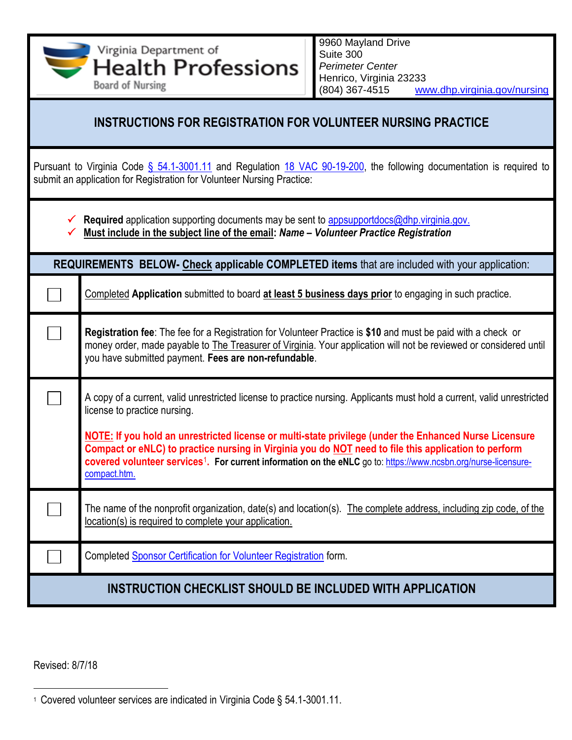Virginia Department of Suite 300 **Health Professions** *Perimeter Center* Henrico, Virginia 23233 **Board of Nursing** (804) 367-4515 [www.dhp.virginia.gov/nursing](http://www.dhp.virginia.gov/nursing) **INSTRUCTIONS FOR REGISTRATION FOR VOLUNTEER NURSING PRACTICE** Pursuant to Virginia Code § [54.1-3001.11](https://law.lis.virginia.gov/vacode/title54.1/chapter30/section54.1-3001/) and Regulation [18 VAC 90-19-200,](https://law.lis.virginia.gov/admincode/title18/agency90/chapter19/section200/) the following documentation is required to submit an application for Registration for Volunteer Nursing Practice: **Required** application supporting documents may be sent to [appsupportdocs@dhp.virginia.gov.](mailto:appsupportdocs@dhp.virginia.gov)  **Must include in the subject line of the email:** *Name – Volunteer Practice Registration* **REQUIREMENTS BELOW- Check applicable COMPLETED items** that are included with your application: Completed **Application** submitted to board **at least 5 business days prior** to engaging in such practice. **Registration fee**: The fee for a Registration for Volunteer Practice is **\$10** and must be paid with a check or money order, made payable to The Treasurer of Virginia. Your application will not be reviewed or considered until you have submitted payment. **Fees are non-refundable**. A copy of a current, valid unrestricted license to practice nursing. Applicants must hold a current, valid unrestricted license to practice nursing. **NOTE: If you hold an unrestricted license or multi-state privilege (under the Enhanced Nurse Licensure Compact or eNLC) to practice nursing in Virginia you do NOT need to file this application to perform covered volunteer services**<sup>1</sup> **. For current information on the eNLC** go to: [https://www.ncsbn.org/nurse-licensure](https://www.ncsbn.org/nurse-licensure-compact.htm)[compact.htm.](https://www.ncsbn.org/nurse-licensure-compact.htm) The name of the nonprofit organization, date(s) and location(s). The complete address, including zip code, of the location(s) is required to complete your application. Completed [Sponsor Certification for Volunteer Registration](https://www.dhp.virginia.gov/Forms/nursing/Volunteer_Practice_SponsorForm.pdf) form. **INSTRUCTION CHECKLIST SHOULD BE INCLUDED WITH APPLICATION**

9960 Mayland Drive

Revised: 8/7/18

 $\overline{\phantom{a}}$ 1 Covered volunteer services are indicated in Virginia Code § 54.1-3001.11.